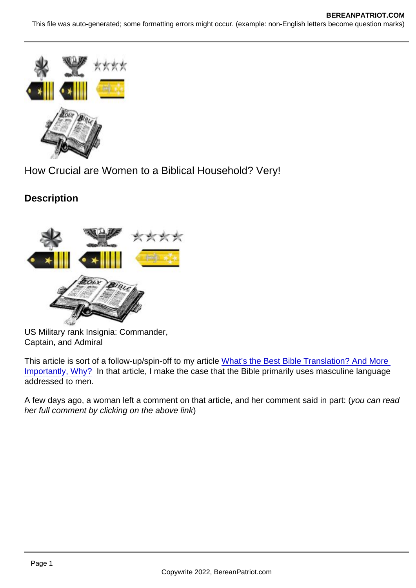How Crucial are Women to a Biblical Household? Very!

**Description** 

US Military rank Insignia: Commander, Captain, and Admiral

This article is sort of a follow-up/spin-off to my article [What's the Best Bible Translation? And More](https://www.bereanpatriot.com/whats-the-best-bible-translation-and-more-importantly-why/)  [Importantly, Why?](https://www.bereanpatriot.com/whats-the-best-bible-translation-and-more-importantly-why/) In that article, I make the case that the Bible primarily uses masculine language addressed to men.

A few days ago, a woman left a comment on that article, and her comment said in part: (you can read her full comment by clicking on the above link)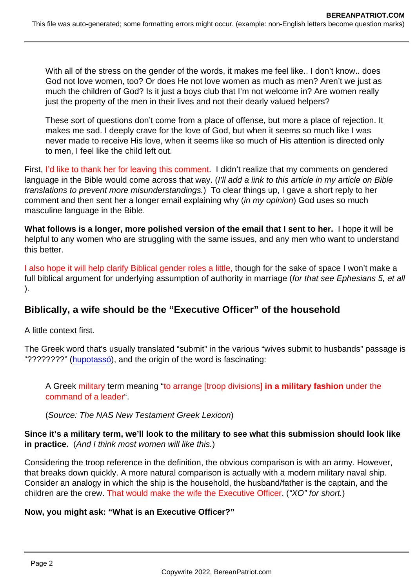With all of the stress on the gender of the words, it makes me feel like.. I don't know.. does God not love women, too? Or does He not love women as much as men? Aren't we just as much the children of God? Is it just a boys club that I'm not welcome in? Are women really just the property of the men in their lives and not their dearly valued helpers?

These sort of questions don't come from a place of offense, but more a place of rejection. It makes me sad. I deeply crave for the love of God, but when it seems so much like I was never made to receive His love, when it seems like so much of His attention is directed only to men, I feel like the child left out.

First, I'd like to thank her for leaving this comment. I didn't realize that my comments on gendered language in the Bible would come across that way. (I'll add a link to this article in my article on Bible translations to prevent more misunderstandings.) To clear things up, I gave a short reply to her comment and then sent her a longer email explaining why (in my opinion) God uses so much masculine language in the Bible.

What follows is a longer, more polished version of the email that I sent to her. I hope it will be helpful to any women who are struggling with the same issues, and any men who want to understand this better.

I also hope it will help clarify Biblical gender roles a little, though for the sake of space I won't make a full biblical argument for underlying assumption of authority in marriage (for that see Ephesians 5, et all ).

Biblically, a wife should be the "Executive Officer" of the household

A little context first.

The Greek word that's usually translated "submit" in the various "wives submit to husbands" passage is "?????????" ([hupotassó](https://biblehub.com/greek/5293.htm)), and the origin of the word is fascinating:

A Greek military term meaning "to arrange [troop divisions] in a military fashion under the command of a leader".

(Source: The NAS New Testament Greek Lexicon)

Since it's a military term, we'll look to the military to see what this submission should look like in practice. (And I think most women will like this.)

Considering the troop reference in the definition, the obvious comparison is with an army. However, that breaks down quickly. A more natural comparison is actually with a modern military naval ship. Consider an analogy in which the ship is the household, the husband/father is the captain, and the children are the crew. That would make the wife the Executive Officer. ("XO" for short.)

Now, you might ask: "What is an Executive Officer?"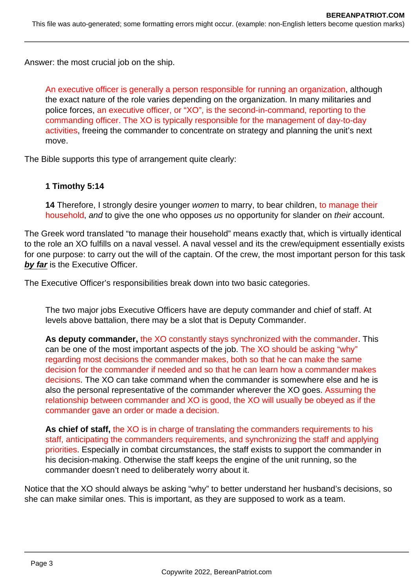Answer: the most crucial job on the ship.

An executive officer is generally a person responsible for running an organization, although the exact nature of the role varies depending on the organization. In many militaries and police forces, an executive officer, or "XO", is the second-in-command, reporting to the commanding officer. The XO is typically responsible for the management of day-to-day activities, freeing the commander to concentrate on strategy and planning the unit's next move.

The Bible supports this type of arrangement quite clearly:

# **1 Timothy 5:14**

**14** Therefore, I strongly desire younger women to marry, to bear children, to manage their household, and to give the one who opposes us no opportunity for slander on their account.

The Greek word translated "to manage their household" means exactly that, which is virtually identical to the role an XO fulfills on a naval vessel. A naval vessel and its the crew/equipment essentially exists for one purpose: to carry out the will of the captain. Of the crew, the most important person for this task **by far** is the Executive Officer.

The Executive Officer's responsibilities break down into two basic categories.

The two major jobs Executive Officers have are deputy commander and chief of staff. At levels above battalion, there may be a slot that is Deputy Commander.

**As deputy commander,** the XO constantly stays synchronized with the commander. This can be one of the most important aspects of the job. The XO should be asking "why" regarding most decisions the commander makes, both so that he can make the same decision for the commander if needed and so that he can learn how a commander makes decisions. The XO can take command when the commander is somewhere else and he is also the personal representative of the commander wherever the XO goes. Assuming the relationship between commander and XO is good, the XO will usually be obeyed as if the commander gave an order or made a decision.

**As chief of staff,** the XO is in charge of translating the commanders requirements to his staff, anticipating the commanders requirements, and synchronizing the staff and applying priorities. Especially in combat circumstances, the staff exists to support the commander in his decision-making. Otherwise the staff keeps the engine of the unit running, so the commander doesn't need to deliberately worry about it.

Notice that the XO should always be asking "why" to better understand her husband's decisions, so she can make similar ones. This is important, as they are supposed to work as a team.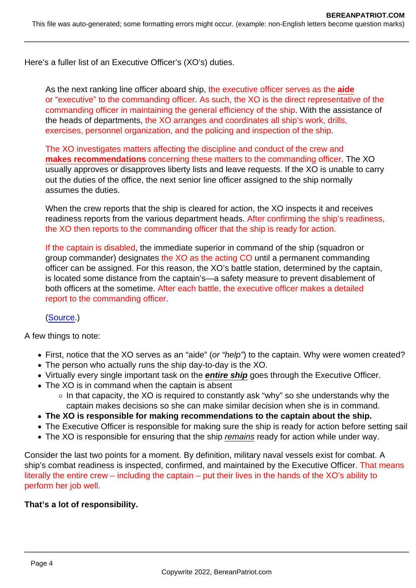Here's a fuller list of an Executive Officer's (XO's) duties.

As the next ranking line officer aboard ship, the executive officer serves as the aide or "executive" to the commanding officer. As such, the XO is the direct representative of the commanding officer in maintaining the general efficiency of the ship. With the assistance of the heads of departments, the XO arranges and coordinates all ship's work, drills, exercises, personnel organization, and the policing and inspection of the ship.

The XO investigates matters affecting the discipline and conduct of the crew and makes recommendations concerning these matters to the commanding officer. The XO usually approves or disapproves liberty lists and leave requests. If the XO is unable to carry out the duties of the office, the next senior line officer assigned to the ship normally assumes the duties.

When the crew reports that the ship is cleared for action, the XO inspects it and receives readiness reports from the various department heads. After confirming the ship's readiness, the XO then reports to the commanding officer that the ship is ready for action.

If the captain is disabled, the immediate superior in command of the ship (squadron or group commander) designates the XO as the acting CO until a permanent commanding officer can be assigned. For this reason, the XO's battle station, determined by the captain, is located some distance from the captain's—a safety measure to prevent disablement of both officers at the sometime. After each battle, the executive officer makes a detailed report to the commanding officer.

## ([Source](https://navyadministration.tpub.com/12966/css/Executive-Officer-Xo-294.htm).)

A few things to note:

- First, notice that the XO serves as an "aide" (or "help") to the captain. Why were women created?
- The person who actually runs the ship day-to-day is the XO.
- Virtually every single important task on the entire ship goes through the Executive Officer.
- The XO is in command when the captain is absent
	- $\circ$  In that capacity, the XO is required to constantly ask "why" so she understands why the captain makes decisions so she can make similar decision when she is in command.
- The XO is responsible for making recommendations to the captain about the ship.
- The Executive Officer is responsible for making sure the ship is ready for action before setting sail
- The XO is responsible for ensuring that the ship remains ready for action while under way.

Consider the last two points for a moment. By definition, military naval vessels exist for combat. A ship's combat readiness is inspected, confirmed, and maintained by the Executive Officer. That means literally the entire crew – including the captain – put their lives in the hands of the XO's ability to perform her job well.

That's a lot of responsibility.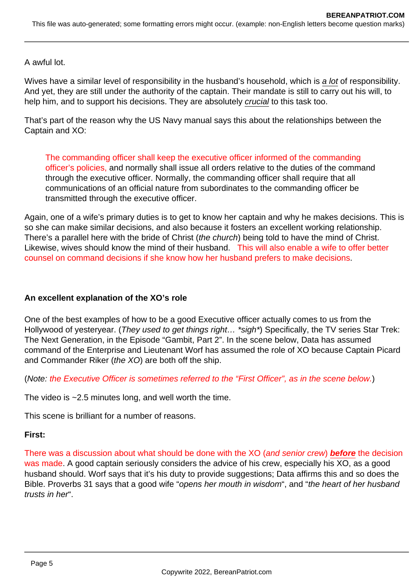A awful lot.

Wives have a similar level of responsibility in the husband's household, which is a lot of responsibility. And yet, they are still under the authority of the captain. Their mandate is still to carry out his will, to help him, and to support his decisions. They are absolutely *crucial* to this task too.

That's part of the reason why the US Navy manual says this about the relationships between the Captain and XO:

The commanding officer shall keep the executive officer informed of the commanding officer's policies, and normally shall issue all orders relative to the duties of the command through the executive officer. Normally, the commanding officer shall require that all communications of an official nature from subordinates to the commanding officer be transmitted through the executive officer.

Again, one of a wife's primary duties is to get to know her captain and why he makes decisions. This is so she can make similar decisions, and also because it fosters an excellent working relationship. There's a parallel here with the bride of Christ (the church) being told to have the mind of Christ. Likewise, wives should know the mind of their husband. This will also enable a wife to offer better counsel on command decisions if she know how her husband prefers to make decisions.

## **An excellent explanation of the XO's role**

One of the best examples of how to be a good Executive officer actually comes to us from the Hollywood of yesteryear. (They used to get things right... \*sigh\*) Specifically, the TV series Star Trek: The Next Generation, in the Episode "Gambit, Part 2". In the scene below, Data has assumed command of the Enterprise and Lieutenant Worf has assumed the role of XO because Captain Picard and Commander Riker (the XO) are both off the ship.

(Note: the Executive Officer is sometimes referred to the "First Officer", as in the scene below.)

The video is  $\sim$ 2.5 minutes long, and well worth the time.

This scene is brilliant for a number of reasons.

## **First:**

There was a discussion about what should be done with the XO (and senior crew) **before** the decision was made. A good captain seriously considers the advice of his crew, especially his XO, as a good husband should. Worf says that it's his duty to provide suggestions; Data affirms this and so does the Bible. Proverbs 31 says that a good wife "opens her mouth in wisdom", and "the heart of her husband trusts in her".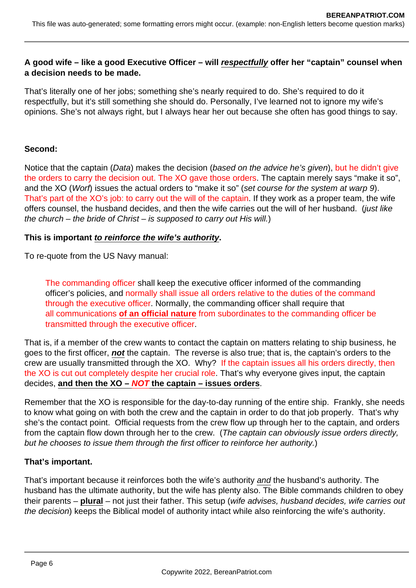### **A good wife – like a good Executive Officer – will respectfully offer her "captain" counsel when a decision needs to be made.**

That's literally one of her jobs; something she's nearly required to do. She's required to do it respectfully, but it's still something she should do. Personally, I've learned not to ignore my wife's opinions. She's not always right, but I always hear her out because she often has good things to say.

### **Second:**

Notice that the captain (Data) makes the decision (based on the advice he's given), but he didn't give the orders to carry the decision out. The XO gave those orders. The captain merely says "make it so", and the XO (Worf) issues the actual orders to "make it so" (set course for the system at warp 9). That's part of the XO's job: to carry out the will of the captain. If they work as a proper team, the wife offers counsel, the husband decides, and then the wife carries out the will of her husband. (just like the church – the bride of Christ – is supposed to carry out His will.)

### **This is important to reinforce the wife's authority.**

To re-quote from the US Navy manual:

The commanding officer shall keep the executive officer informed of the commanding officer's policies, and normally shall issue all orders relative to the duties of the command through the executive officer. Normally, the commanding officer shall require that all communications **of an official nature** from subordinates to the commanding officer be transmitted through the executive officer.

That is, if a member of the crew wants to contact the captain on matters relating to ship business, he goes to the first officer, **not** the captain. The reverse is also true; that is, the captain's orders to the crew are usually transmitted through the XO. Why? If the captain issues all his orders directly, then the XO is cut out completely despite her crucial role. That's why everyone gives input, the captain decides, **and then the XO – NOT the captain – issues orders**.

Remember that the XO is responsible for the day-to-day running of the entire ship. Frankly, she needs to know what going on with both the crew and the captain in order to do that job properly. That's why she's the contact point. Official requests from the crew flow up through her to the captain, and orders from the captain flow down through her to the crew. (The captain can obviously issue orders directly, but he chooses to issue them through the first officer to reinforce her authority.)

## **That's important.**

That's important because it reinforces both the wife's authority and the husband's authority. The husband has the ultimate authority, but the wife has plenty also. The Bible commands children to obey their parents – **plural** – not just their father. This setup (wife advises, husband decides, wife carries out the decision) keeps the Biblical model of authority intact while also reinforcing the wife's authority.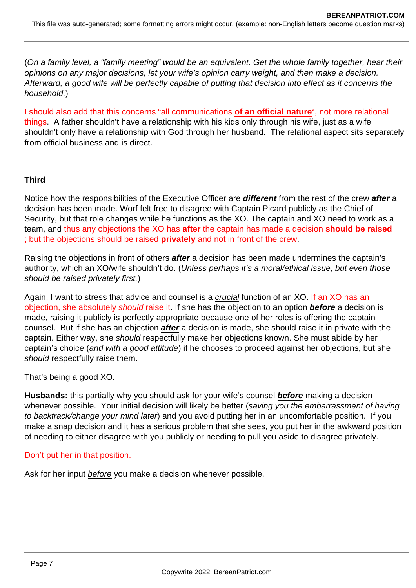(On a family level, a "family meeting" would be an equivalent. Get the whole family together, hear their opinions on any major decisions, let your wife's opinion carry weight, and then make a decision. Afterward, a good wife will be perfectly capable of putting that decision into effect as it concerns the household.)

I should also add that this concerns "all communications **of an official nature**", not more relational things. A father shouldn't have a relationship with his kids only through his wife, just as a wife shouldn't only have a relationship with God through her husband. The relational aspect sits separately from official business and is direct.

# **Third**

Notice how the responsibilities of the Executive Officer are **different** from the rest of the crew **after** a decision has been made. Worf felt free to disagree with Captain Picard publicly as the Chief of Security, but that role changes while he functions as the XO. The captain and XO need to work as a team, and thus any objections the XO has **after** the captain has made a decision **should be raised** ; but the objections should be raised **privately** and not in front of the crew.

Raising the objections in front of others **after** a decision has been made undermines the captain's authority, which an XO/wife shouldn't do. (Unless perhaps it's a moral/ethical issue, but even those should be raised privately first.)

Again, I want to stress that advice and counsel is a *crucial* function of an XO. If an XO has an objection, she absolutely should raise it. If she has the objection to an option **before** a decision is made, raising it publicly is perfectly appropriate because one of her roles is offering the captain counsel. But if she has an objection **after** a decision is made, she should raise it in private with the captain. Either way, she should respectfully make her objections known. She must abide by her captain's choice (and with a good attitude) if he chooses to proceed against her objections, but she should respectfully raise them.

That's being a good XO.

**Husbands:** this partially why you should ask for your wife's counsel **before** making a decision whenever possible. Your initial decision will likely be better (saving you the embarrassment of having to backtrack/change your mind later) and you avoid putting her in an uncomfortable position. If you make a snap decision and it has a serious problem that she sees, you put her in the awkward position of needing to either disagree with you publicly or needing to pull you aside to disagree privately.

## Don't put her in that position.

Ask for her input before you make a decision whenever possible.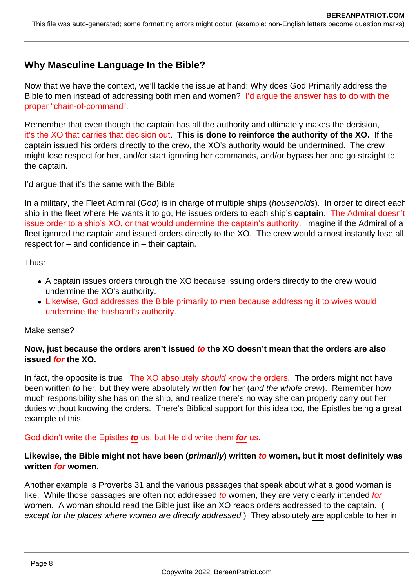# **Why Masculine Language In the Bible?**

Now that we have the context, we'll tackle the issue at hand: Why does God Primarily address the Bible to men instead of addressing both men and women? I'd argue the answer has to do with the proper "chain-of-command".

Remember that even though the captain has all the authority and ultimately makes the decision, it's the XO that carries that decision out. **This is done to reinforce the authority of the XO.** If the captain issued his orders directly to the crew, the XO's authority would be undermined. The crew might lose respect for her, and/or start ignoring her commands, and/or bypass her and go straight to the captain.

I'd argue that it's the same with the Bible.

In a military, the Fleet Admiral (God) is in charge of multiple ships (households). In order to direct each ship in the fleet where He wants it to go, He issues orders to each ship's **captain**. The Admiral doesn't issue order to a ship's XO, or that would undermine the captain's authority. Imagine if the Admiral of a fleet ignored the captain and issued orders directly to the XO. The crew would almost instantly lose all respect for – and confidence in – their captain.

Thus:

- A captain issues orders through the XO because issuing orders directly to the crew would undermine the XO's authority.
- Likewise, God addresses the Bible primarily to men because addressing it to wives would undermine the husband's authority.

Make sense?

## **Now, just because the orders aren't issued to the XO doesn't mean that the orders are also issued for the XO.**

In fact, the opposite is true. The XO absolutely should know the orders. The orders might not have been written **to** her, but they were absolutely written **for** her (and the whole crew). Remember how much responsibility she has on the ship, and realize there's no way she can properly carry out her duties without knowing the orders. There's Biblical support for this idea too, the Epistles being a great example of this.

God didn't write the Epistles **to** us, but He did write them **for** us.

## **Likewise, the Bible might not have been (primarily) written to women, but it most definitely was written for women.**

Another example is Proverbs 31 and the various passages that speak about what a good woman is like. While those passages are often not addressed to women, they are very clearly intended for women. A woman should read the Bible just like an XO reads orders addressed to the captain. ( except for the places where women are directly addressed.) They absolutely are applicable to her in